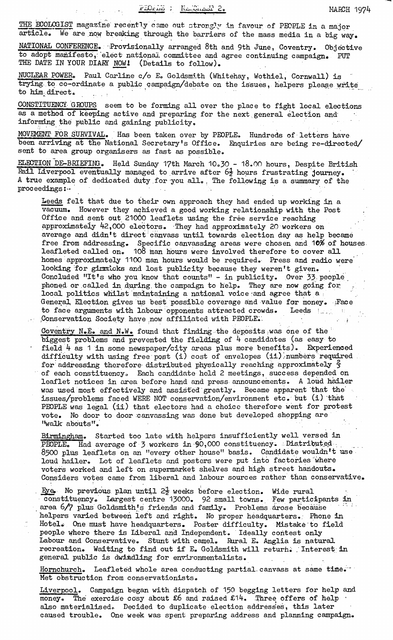THE ECOLOGIST magazine recently came out strongly in favour of PEOPLE in a major<br>article. We are now breaking through the barriers of the mass media in a big way We are now breaking through the barriers of the mass media in a big way.

NATIONAL CONFERENCE. Provisionally arranged 8th and 9th June, Coventry. Objective to adopt manifesto, elect national committee and agree continuing campaign. PUT THE DATE IN YOUR DIARY NOW! (Details to follow).

NUCLEAR POWER. Paul Carline c/o E. Goldsmith (Whitehay, Wothiel, Cornwall) is trying to co-ordinate a public campaign/debate on the issues, helpers please write to him direct.

CONSTITUENCY GROUPS seem to be forming all over the place to fight local elections as a method of keeping active and preparing for the next general election and informing the public and gaining publicity,

MOVEMENT FOR SURVIVAL. Has been taken over by PEOPLE. Hundreds of letters have been arriving at the National Secretary's Office. Enquiries are being re-directed/ sent to area group organisers as fast as possible.

ELECTION DE-BRIEFING. Held Sunday 17th March 10.30 - 18.00 hours, Despite British Rail Liverpool eventually managed to arrive after  $6\frac{1}{2}$  hours frustrating journey. A true example of dedicated duty for you all. , The following is a summary of the proceedings:-

Leeds felt that due to their own approach they had ended up working in a vacuum. However they achieved a good working relationship with the Post Office and sent out 21000 leaflets using the free service reaching approximately 42,000 electors. They had approximately 20 workers on average and didn't direct canvass until towards election day as help became free from addressing. Specific canvassing areas were chosen and 10\$ of houses leafleted called on. 108 man hours were involved therefore to cover all homes approximately 1100 man hours would be required. Press and radio were looking :for gimmicks and lost publicity because they weren't given. Concluded "It's who you know that counts" - in publicity. Over 33 people phoned or called in during the campaign to help. They are now going for  $\mathcal{F}$ local politics whilst maintaining a national voice :and agree that a ; General, Election gives us best possible coverage and value for money. Face to face arguments with labour opponents attracted crowds. Leeds Conservation Society have now affiliated with PEOPLE.

Coventry N.E. and N.W. found that finding the deposits .was one of the biggest problems and prevented the fielding of **k** candidates (as easy to field  $4$  as 1 in some newspaper/city areas plus more benefits). Experienced difficulty with using free post (i) cost of envelopes (ii) numbers required for addressing therefore distributed physically reaching approximately  $\frac{1}{2}$ of each constituency,. Each candidate held 2 meetings, success depended on leaflet notices in area before hand and press announcements. A loud nailer was used most effectively and assisted greatly. Became apparent that the' issues/problems faced WERE NOT conservation/environment etc. but (i) that PEOPLE was legal (ii) that electors had a choice therefore went for protest vote. No door to door canvassing was done but developed shopping are "walk abouts".

Birmingham. Started too late with helpers insufficiently well versed in PEOPLE. Had average of 3 workers in 90,000 constituency. Distributed 8500 plus leaflets on an "every other house" basis. Candidate wouldn't use loud nailer. Lot of leaflets and posters were put into factories where voters worked and left on supermarket shelves and high street handouts. Considers votes came from liberal and labour sources rather than conservative.

. Eye. No previous plan until  $2\frac{1}{2}$  weeks before election. Wide rural constituency. Largest centre 13000. 92 small towns. Few participants in area 6/7 plus Goldsmith's friends and family. Problems arose because helpers varied between left and right. No proper headquarters.. Phone in Hotel. One must have headquarters. Poster difficulty. Mistake to field people where there is Liberal and Independent. Ideally contest only Labour and Conservative. Stunt with camel. Rural E. Anglia is natural recreation. Waiting to find out if E. Goldsmith will return. Interest in general public is dwindling for environmentalists.

Hornchurch. Leafleted whole area conducting partial canvass at same time. Met obstruction from conservationists.

Liverpool. Campaign began with dispatch of 150 begging letters for help and money. The exercise cosy about  $£6$  and raised  $£14$ . Three offers of help also materialised. Decided to duplicate election addresses, this later caused trouble. One week was spent preparing address and planning campaign.